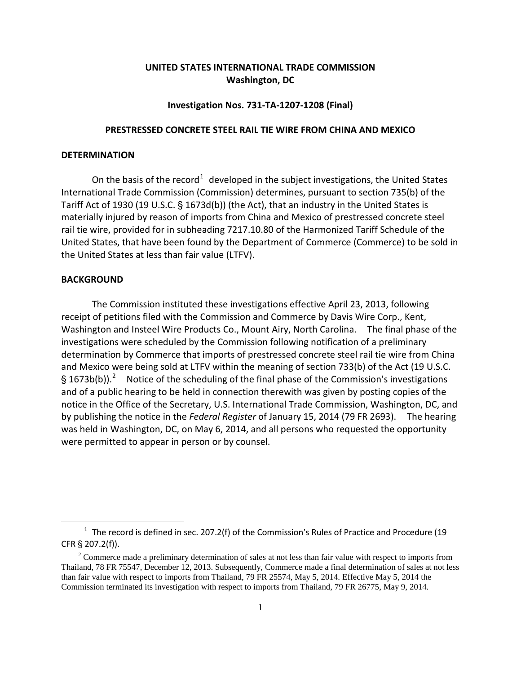# **UNITED STATES INTERNATIONAL TRADE COMMISSION Washington, DC**

#### **Investigation Nos. 731-TA-1207-1208 (Final)**

### **PRESTRESSED CONCRETE STEEL RAIL TIE WIRE FROM CHINA AND MEXICO**

## **DETERMINATION**

On the basis of the record<sup>[1](#page-0-0)</sup> developed in the subject investigations, the United States International Trade Commission (Commission) determines, pursuant to section 735(b) of the Tariff Act of 1930 (19 U.S.C.  $\S$  1673d(b)) (the Act), that an industry in the United States is materially injured by reason of imports from China and Mexico of prestressed concrete steel rail tie wire, provided for in subheading 7217.10.80 of the Harmonized Tariff Schedule of the United States, that have been found by the Department of Commerce (Commerce) to be sold in the United States at less than fair value (LTFV).

#### **BACKGROUND**

 $\overline{a}$ 

The Commission instituted these investigations effective April 23, 2013, following receipt of petitions filed with the Commission and Commerce by Davis Wire Corp., Kent, Washington and Insteel Wire Products Co., Mount Airy, North Carolina. The final phase of the investigations were scheduled by the Commission following notification of a preliminary determination by Commerce that imports of prestressed concrete steel rail tie wire from China and Mexico were being sold at LTFV within the meaning of section 733(b) of the Act (19 U.S.C. § 1673b(b)).<sup>[2](#page-0-1)</sup> Notice of the scheduling of the final phase of the Commission's investigations and of a public hearing to be held in connection therewith was given by posting copies of the notice in the Office of the Secretary, U.S. International Trade Commission, Washington, DC, and by publishing the notice in the *Federal Register* of January 15, 2014 (79 FR 2693). The hearing was held in Washington, DC, on May 6, 2014, and all persons who requested the opportunity were permitted to appear in person or by counsel.

<span id="page-0-0"></span> $1$  The record is defined in sec. 207.2(f) of the Commission's Rules of Practice and Procedure (19  $CFR \$  207.2(f)).

<span id="page-0-1"></span><sup>&</sup>lt;sup>2</sup> Commerce made a preliminary determination of sales at not less than fair value with respect to imports from Thailand, 78 FR 75547, December 12, 2013. Subsequently, Commerce made a final determination of sales at not less than fair value with respect to imports from Thailand, 79 FR 25574, May 5, 2014. Effective May 5, 2014 the Commission terminated its investigation with respect to imports from Thailand, 79 FR 26775, May 9, 2014.